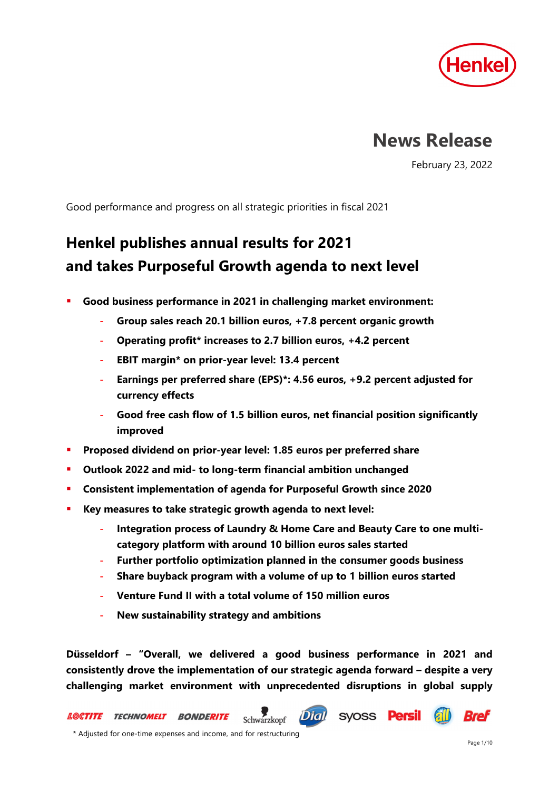

# **News Release**

February 23, 2022

Good performance and progress on all strategic priorities in fiscal 2021

# **Henkel publishes annual results for 2021 and takes Purposeful Growth agenda to next level**

- **Good business performance in 2021 in challenging market environment:** 
	- **Group sales reach 20.1 billion euros, +7.8 percent organic growth**
	- **Operating profit\* increases to 2.7 billion euros, +4.2 percent**
	- **EBIT margin\* on prior-year level: 13.4 percent**
	- **Earnings per preferred share (EPS)\*: 4.56 euros, +9.2 percent adjusted for currency effects**
	- **Good free cash flow of 1.5 billion euros, net financial position significantly improved**
- **Proposed dividend on prior-year level: 1.85 euros per preferred share**
- **Outlook 2022 and mid- to long-term financial ambition unchanged**
- **Consistent implementation of agenda for Purposeful Growth since 2020**
- **Key measures to take strategic growth agenda to next level:** 
	- **Integration process of Laundry & Home Care and Beauty Care to one multicategory platform with around 10 billion euros sales started**
	- **Further portfolio optimization planned in the consumer goods business**
	- **Share buyback program with a volume of up to 1 billion euros started**
	- **Venture Fund II with a total volume of 150 million euros**
	- **New sustainability strategy and ambitions**

**Düsseldorf – "Overall, we delivered a good business performance in 2021 and consistently drove the implementation of our strategic agenda forward – despite a very challenging market environment with unprecedented disruptions in global supply** 



Rref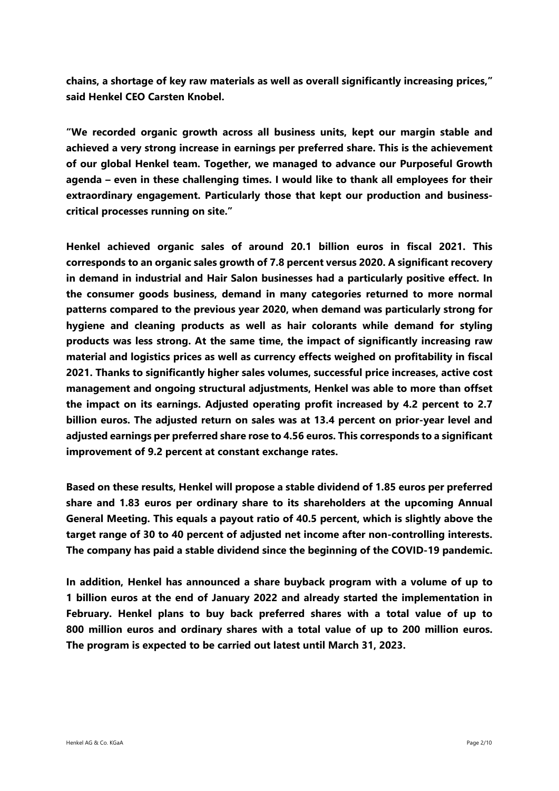**chains, a shortage of key raw materials as well as overall significantly increasing prices," said Henkel CEO Carsten Knobel.** 

**"We recorded organic growth across all business units, kept our margin stable and achieved a very strong increase in earnings per preferred share. This is the achievement of our global Henkel team. Together, we managed to advance our Purposeful Growth agenda – even in these challenging times. I would like to thank all employees for their extraordinary engagement. Particularly those that kept our production and businesscritical processes running on site."** 

**Henkel achieved organic sales of around 20.1 billion euros in fiscal 2021. This corresponds to an organic sales growth of 7.8 percent versus 2020. A significant recovery in demand in industrial and Hair Salon businesses had a particularly positive effect. In the consumer goods business, demand in many categories returned to more normal patterns compared to the previous year 2020, when demand was particularly strong for hygiene and cleaning products as well as hair colorants while demand for styling products was less strong. At the same time, the impact of significantly increasing raw material and logistics prices as well as currency effects weighed on profitability in fiscal 2021. Thanks to significantly higher sales volumes, successful price increases, active cost management and ongoing structural adjustments, Henkel was able to more than offset the impact on its earnings. Adjusted operating profit increased by 4.2 percent to 2.7 billion euros. The adjusted return on sales was at 13.4 percent on prior-year level and adjusted earnings per preferred share rose to 4.56 euros. This corresponds to a significant improvement of 9.2 percent at constant exchange rates.** 

**Based on these results, Henkel will propose a stable dividend of 1.85 euros per preferred share and 1.83 euros per ordinary share to its shareholders at the upcoming Annual General Meeting. This equals a payout ratio of 40.5 percent, which is slightly above the target range of 30 to 40 percent of adjusted net income after non-controlling interests. The company has paid a stable dividend since the beginning of the COVID-19 pandemic.** 

**In addition, Henkel has announced a share buyback program with a volume of up to 1 billion euros at the end of January 2022 and already started the implementation in February. Henkel plans to buy back preferred shares with a total value of up to 800 million euros and ordinary shares with a total value of up to 200 million euros. The program is expected to be carried out latest until March 31, 2023.**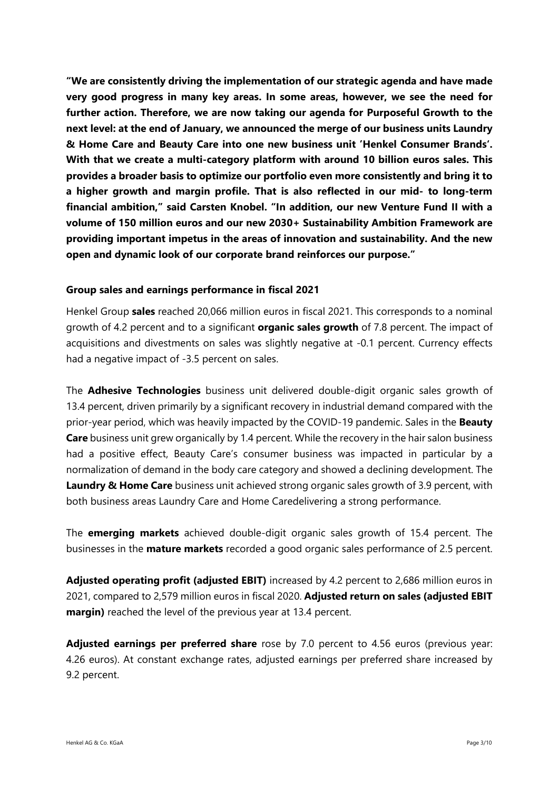**"We are consistently driving the implementation of our strategic agenda and have made very good progress in many key areas. In some areas, however, we see the need for further action. Therefore, we are now taking our agenda for Purposeful Growth to the next level: at the end of January, we announced the merge of our business units Laundry & Home Care and Beauty Care into one new business unit 'Henkel Consumer Brands'. With that we create a multi-category platform with around 10 billion euros sales. This provides a broader basis to optimize our portfolio even more consistently and bring it to a higher growth and margin profile. That is also reflected in our mid- to long-term financial ambition," said Carsten Knobel. "In addition, our new Venture Fund II with a volume of 150 million euros and our new 2030+ Sustainability Ambition Framework are providing important impetus in the areas of innovation and sustainability. And the new open and dynamic look of our corporate brand reinforces our purpose."** 

## **Group sales and earnings performance in fiscal 2021**

Henkel Group **sales** reached 20,066 million euros in fiscal 2021. This corresponds to a nominal growth of 4.2 percent and to a significant **organic sales growth** of 7.8 percent. The impact of acquisitions and divestments on sales was slightly negative at -0.1 percent. Currency effects had a negative impact of -3.5 percent on sales.

The **Adhesive Technologies** business unit delivered double-digit organic sales growth of 13.4 percent, driven primarily by a significant recovery in industrial demand compared with the prior-year period, which was heavily impacted by the COVID-19 pandemic. Sales in the **Beauty Care** business unit grew organically by 1.4 percent. While the recovery in the hair salon business had a positive effect, Beauty Care's consumer business was impacted in particular by a normalization of demand in the body care category and showed a declining development. The **Laundry & Home Care** business unit achieved strong organic sales growth of 3.9 percent, with both business areas Laundry Care and Home Caredelivering a strong performance.

The **emerging markets** achieved double-digit organic sales growth of 15.4 percent. The businesses in the **mature markets** recorded a good organic sales performance of 2.5 percent.

**Adjusted operating profit (adjusted EBIT)** increased by 4.2 percent to 2,686 million euros in 2021, compared to 2,579 million euros in fiscal 2020. **Adjusted return on sales (adjusted EBIT margin)** reached the level of the previous year at 13.4 percent.

**Adjusted earnings per preferred share** rose by 7.0 percent to 4.56 euros (previous year: 4.26 euros). At constant exchange rates, adjusted earnings per preferred share increased by 9.2 percent.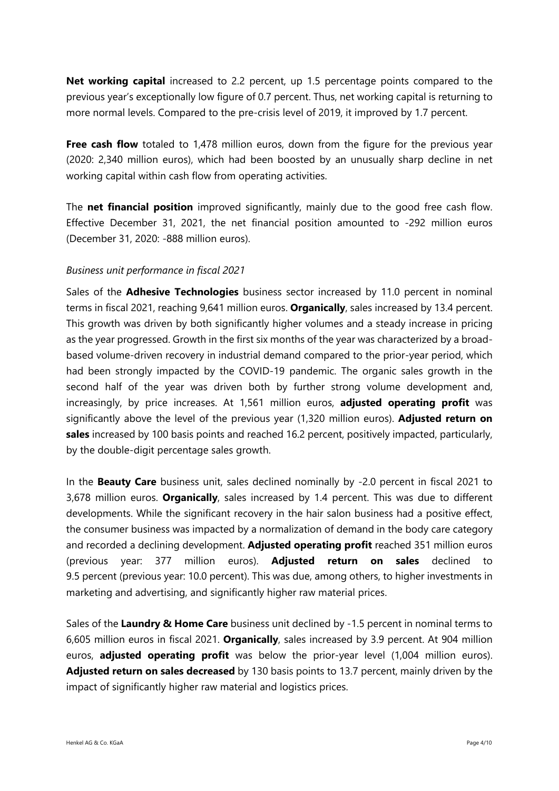**Net working capital** increased to 2.2 percent, up 1.5 percentage points compared to the previous year's exceptionally low figure of 0.7 percent. Thus, net working capital is returning to more normal levels. Compared to the pre-crisis level of 2019, it improved by 1.7 percent.

**Free cash flow** totaled to 1,478 million euros, down from the figure for the previous year (2020: 2,340 million euros), which had been boosted by an unusually sharp decline in net working capital within cash flow from operating activities.

The **net financial position** improved significantly, mainly due to the good free cash flow. Effective December 31, 2021, the net financial position amounted to -292 million euros (December 31, 2020: -888 million euros).

## *Business unit performance in fiscal 2021*

Sales of the **Adhesive Technologies** business sector increased by 11.0 percent in nominal terms in fiscal 2021, reaching 9,641 million euros. **Organically**, sales increased by 13.4 percent. This growth was driven by both significantly higher volumes and a steady increase in pricing as the year progressed. Growth in the first six months of the year was characterized by a broadbased volume-driven recovery in industrial demand compared to the prior-year period, which had been strongly impacted by the COVID-19 pandemic. The organic sales growth in the second half of the year was driven both by further strong volume development and, increasingly, by price increases. At 1,561 million euros, **adjusted operating profit** was significantly above the level of the previous year (1,320 million euros). **Adjusted return on sales** increased by 100 basis points and reached 16.2 percent, positively impacted, particularly, by the double-digit percentage sales growth.

In the **Beauty Care** business unit, sales declined nominally by -2.0 percent in fiscal 2021 to 3,678 million euros. **Organically**, sales increased by 1.4 percent. This was due to different developments. While the significant recovery in the hair salon business had a positive effect, the consumer business was impacted by a normalization of demand in the body care category and recorded a declining development. **Adjusted operating profit** reached 351 million euros (previous year: 377 million euros). **Adjusted return on sales** declined to 9.5 percent (previous year: 10.0 percent). This was due, among others, to higher investments in marketing and advertising, and significantly higher raw material prices.

Sales of the **Laundry & Home Care** business unit declined by -1.5 percent in nominal terms to 6,605 million euros in fiscal 2021. **Organically**, sales increased by 3.9 percent. At 904 million euros, **adjusted operating profit** was below the prior-year level (1,004 million euros). **Adjusted return on sales decreased** by 130 basis points to 13.7 percent, mainly driven by the impact of significantly higher raw material and logistics prices.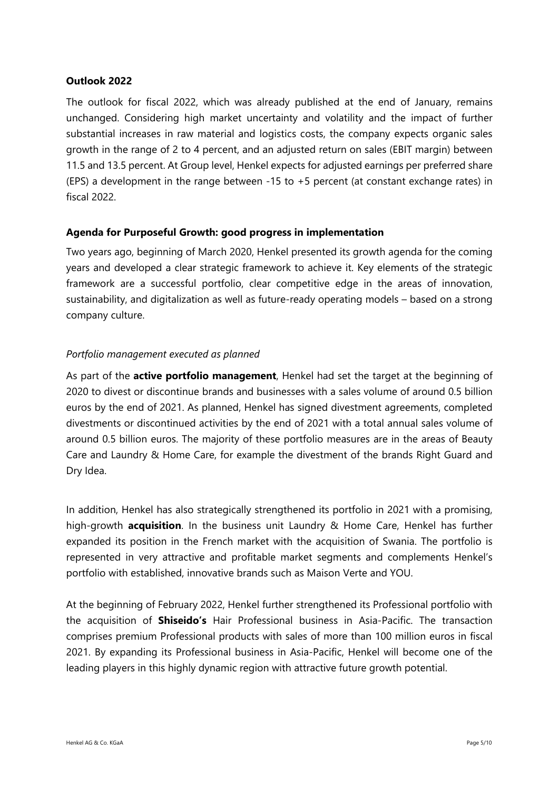## **Outlook 2022**

The outlook for fiscal 2022, which was already published at the end of January, remains unchanged. Considering high market uncertainty and volatility and the impact of further substantial increases in raw material and logistics costs, the company expects organic sales growth in the range of 2 to 4 percent, and an adjusted return on sales (EBIT margin) between 11.5 and 13.5 percent. At Group level, Henkel expects for adjusted earnings per preferred share (EPS) a development in the range between -15 to +5 percent (at constant exchange rates) in fiscal 2022.

#### **Agenda for Purposeful Growth: good progress in implementation**

Two years ago, beginning of March 2020, Henkel presented its growth agenda for the coming years and developed a clear strategic framework to achieve it. Key elements of the strategic framework are a successful portfolio, clear competitive edge in the areas of innovation, sustainability, and digitalization as well as future-ready operating models – based on a strong company culture.

## *Portfolio management executed as planned*

As part of the **active portfolio management**, Henkel had set the target at the beginning of 2020 to divest or discontinue brands and businesses with a sales volume of around 0.5 billion euros by the end of 2021. As planned, Henkel has signed divestment agreements, completed divestments or discontinued activities by the end of 2021 with a total annual sales volume of around 0.5 billion euros. The majority of these portfolio measures are in the areas of Beauty Care and Laundry & Home Care, for example the divestment of the brands Right Guard and Dry Idea.

In addition, Henkel has also strategically strengthened its portfolio in 2021 with a promising, high-growth **acquisition**. In the business unit Laundry & Home Care, Henkel has further expanded its position in the French market with the acquisition of Swania. The portfolio is represented in very attractive and profitable market segments and complements Henkel's portfolio with established, innovative brands such as Maison Verte and YOU.

At the beginning of February 2022, Henkel further strengthened its Professional portfolio with the acquisition of **Shiseido's** Hair Professional business in Asia-Pacific. The transaction comprises premium Professional products with sales of more than 100 million euros in fiscal 2021. By expanding its Professional business in Asia-Pacific, Henkel will become one of the leading players in this highly dynamic region with attractive future growth potential.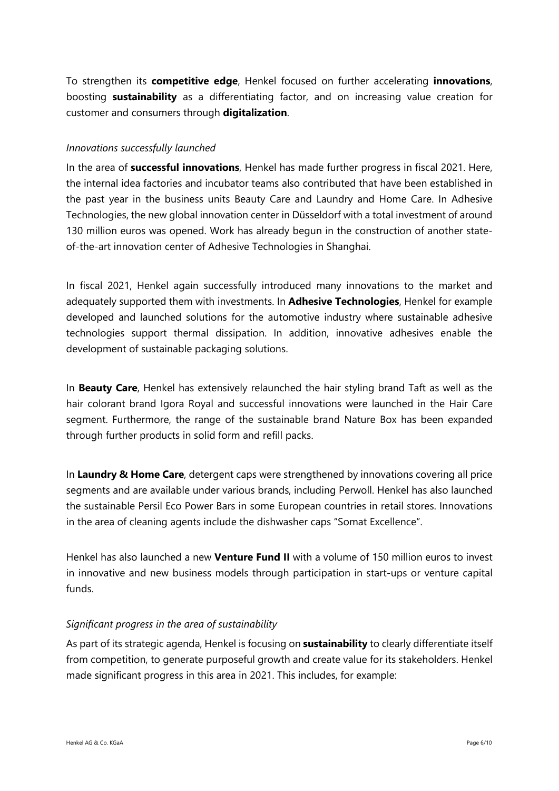To strengthen its **competitive edge**, Henkel focused on further accelerating **innovations**, boosting **sustainability** as a differentiating factor, and on increasing value creation for customer and consumers through **digitalization**.

## *Innovations successfully launched*

In the area of **successful innovations**, Henkel has made further progress in fiscal 2021. Here, the internal idea factories and incubator teams also contributed that have been established in the past year in the business units Beauty Care and Laundry and Home Care. In Adhesive Technologies, the new global innovation center in Düsseldorf with a total investment of around 130 million euros was opened. Work has already begun in the construction of another stateof-the-art innovation center of Adhesive Technologies in Shanghai.

In fiscal 2021, Henkel again successfully introduced many innovations to the market and adequately supported them with investments. In **Adhesive Technologies**, Henkel for example developed and launched solutions for the automotive industry where sustainable adhesive technologies support thermal dissipation. In addition, innovative adhesives enable the development of sustainable packaging solutions.

In **Beauty Care**, Henkel has extensively relaunched the hair styling brand Taft as well as the hair colorant brand Igora Royal and successful innovations were launched in the Hair Care segment. Furthermore, the range of the sustainable brand Nature Box has been expanded through further products in solid form and refill packs.

In **Laundry & Home Care**, detergent caps were strengthened by innovations covering all price segments and are available under various brands, including Perwoll. Henkel has also launched the sustainable Persil Eco Power Bars in some European countries in retail stores. Innovations in the area of cleaning agents include the dishwasher caps "Somat Excellence".

Henkel has also launched a new **Venture Fund II** with a volume of 150 million euros to invest in innovative and new business models through participation in start-ups or venture capital funds.

## *Significant progress in the area of sustainability*

As part of its strategic agenda, Henkel is focusing on **sustainability** to clearly differentiate itself from competition, to generate purposeful growth and create value for its stakeholders. Henkel made significant progress in this area in 2021. This includes, for example: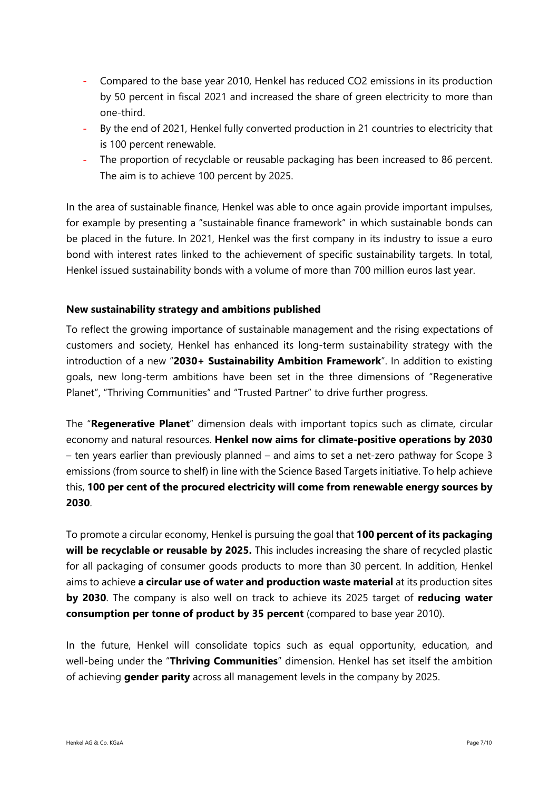- Compared to the base year 2010, Henkel has reduced CO2 emissions in its production by 50 percent in fiscal 2021 and increased the share of green electricity to more than one-third.
- By the end of 2021, Henkel fully converted production in 21 countries to electricity that is 100 percent renewable.
- The proportion of recyclable or reusable packaging has been increased to 86 percent. The aim is to achieve 100 percent by 2025.

In the area of sustainable finance, Henkel was able to once again provide important impulses, for example by presenting a "sustainable finance framework" in which sustainable bonds can be placed in the future. In 2021, Henkel was the first company in its industry to issue a euro bond with interest rates linked to the achievement of specific sustainability targets. In total, Henkel issued sustainability bonds with a volume of more than 700 million euros last year.

# **New sustainability strategy and ambitions published**

To reflect the growing importance of sustainable management and the rising expectations of customers and society, Henkel has enhanced its long-term sustainability strategy with the introduction of a new "**2030+ Sustainability Ambition Framework**". In addition to existing goals, new long-term ambitions have been set in the three dimensions of "Regenerative Planet", "Thriving Communities" and "Trusted Partner" to drive further progress.

The "**Regenerative Planet**" dimension deals with important topics such as climate, circular economy and natural resources. **Henkel now aims for climate-positive operations by 2030**  – ten years earlier than previously planned – and aims to set a net-zero pathway for Scope 3 emissions (from source to shelf) in line with the Science Based Targets initiative. To help achieve this, **100 per cent of the procured electricity will come from renewable energy sources by 2030**.

To promote a circular economy, Henkel is pursuing the goal that **100 percent of its packaging will be recyclable or reusable by 2025.** This includes increasing the share of recycled plastic for all packaging of consumer goods products to more than 30 percent. In addition, Henkel aims to achieve **a circular use of water and production waste material** at its production sites **by 2030**. The company is also well on track to achieve its 2025 target of **reducing water consumption per tonne of product by 35 percent** (compared to base year 2010).

In the future, Henkel will consolidate topics such as equal opportunity, education, and well-being under the "**Thriving Communities**" dimension. Henkel has set itself the ambition of achieving **gender parity** across all management levels in the company by 2025.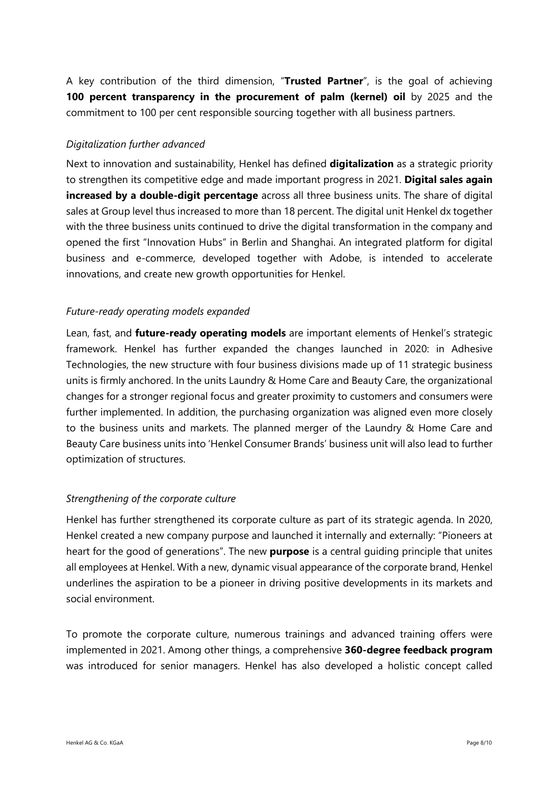A key contribution of the third dimension, "**Trusted Partner**", is the goal of achieving **100 percent transparency in the procurement of palm (kernel) oil** by 2025 and the commitment to 100 per cent responsible sourcing together with all business partners.

# *Digitalization further advanced*

Next to innovation and sustainability, Henkel has defined **digitalization** as a strategic priority to strengthen its competitive edge and made important progress in 2021. **Digital sales again increased by a double-digit percentage** across all three business units. The share of digital sales at Group level thus increased to more than 18 percent. The digital unit Henkel dx together with the three business units continued to drive the digital transformation in the company and opened the first "Innovation Hubs" in Berlin and Shanghai. An integrated platform for digital business and e-commerce, developed together with Adobe, is intended to accelerate innovations, and create new growth opportunities for Henkel.

# *Future-ready operating models expanded*

Lean, fast, and **future-ready operating models** are important elements of Henkel's strategic framework. Henkel has further expanded the changes launched in 2020: in Adhesive Technologies, the new structure with four business divisions made up of 11 strategic business units is firmly anchored. In the units Laundry & Home Care and Beauty Care, the organizational changes for a stronger regional focus and greater proximity to customers and consumers were further implemented. In addition, the purchasing organization was aligned even more closely to the business units and markets. The planned merger of the Laundry & Home Care and Beauty Care business units into 'Henkel Consumer Brands' business unit will also lead to further optimization of structures.

## *Strengthening of the corporate culture*

Henkel has further strengthened its corporate culture as part of its strategic agenda. In 2020, Henkel created a new company purpose and launched it internally and externally: "Pioneers at heart for the good of generations". The new **purpose** is a central guiding principle that unites all employees at Henkel. With a new, dynamic visual appearance of the corporate brand, Henkel underlines the aspiration to be a pioneer in driving positive developments in its markets and social environment.

To promote the corporate culture, numerous trainings and advanced training offers were implemented in 2021. Among other things, a comprehensive **360-degree feedback program** was introduced for senior managers. Henkel has also developed a holistic concept called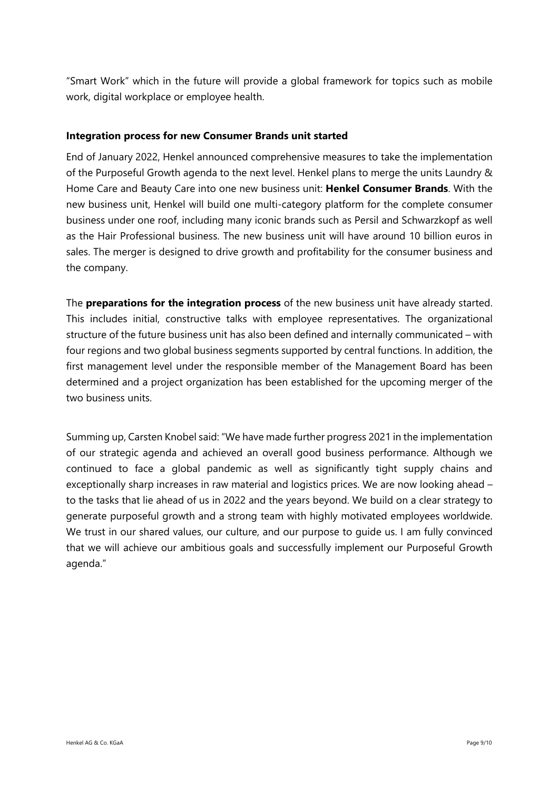"Smart Work" which in the future will provide a global framework for topics such as mobile work, digital workplace or employee health.

#### **Integration process for new Consumer Brands unit started**

End of January 2022, Henkel announced comprehensive measures to take the implementation of the Purposeful Growth agenda to the next level. Henkel plans to merge the units Laundry & Home Care and Beauty Care into one new business unit: **Henkel Consumer Brands**. With the new business unit, Henkel will build one multi-category platform for the complete consumer business under one roof, including many iconic brands such as Persil and Schwarzkopf as well as the Hair Professional business. The new business unit will have around 10 billion euros in sales. The merger is designed to drive growth and profitability for the consumer business and the company.

The **preparations for the integration process** of the new business unit have already started. This includes initial, constructive talks with employee representatives. The organizational structure of the future business unit has also been defined and internally communicated – with four regions and two global business segments supported by central functions. In addition, the first management level under the responsible member of the Management Board has been determined and a project organization has been established for the upcoming merger of the two business units.

Summing up, Carsten Knobel said: "We have made further progress 2021 in the implementation of our strategic agenda and achieved an overall good business performance. Although we continued to face a global pandemic as well as significantly tight supply chains and exceptionally sharp increases in raw material and logistics prices. We are now looking ahead – to the tasks that lie ahead of us in 2022 and the years beyond. We build on a clear strategy to generate purposeful growth and a strong team with highly motivated employees worldwide. We trust in our shared values, our culture, and our purpose to quide us. I am fully convinced that we will achieve our ambitious goals and successfully implement our Purposeful Growth agenda."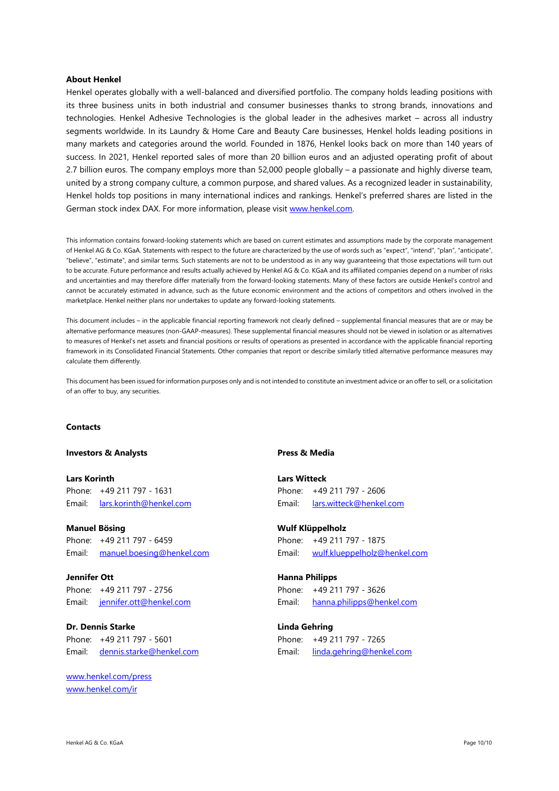#### **About Henkel**

Henkel operates globally with a well-balanced and diversified portfolio. The company holds leading positions with its three business units in both industrial and consumer businesses thanks to strong brands, innovations and technologies. Henkel Adhesive Technologies is the global leader in the adhesives market – across all industry segments worldwide. In its Laundry & Home Care and Beauty Care businesses, Henkel holds leading positions in many markets and categories around the world. Founded in 1876, Henkel looks back on more than 140 years of success. In 2021, Henkel reported sales of more than 20 billion euros and an adjusted operating profit of about 2.7 billion euros. The company employs more than 52,000 people globally – a passionate and highly diverse team, united by a strong company culture, a common purpose, and shared values. As a recognized leader in sustainability, Henkel holds top positions in many international indices and rankings. Henkel's preferred shares are listed in the German stock index DAX. For more information, please visit www.henkel.com.

This information contains forward-looking statements which are based on current estimates and assumptions made by the corporate management of Henkel AG & Co. KGaA. Statements with respect to the future are characterized by the use of words such as "expect", "intend", "plan", "anticipate", "believe", "estimate", and similar terms. Such statements are not to be understood as in any way guaranteeing that those expectations will turn out to be accurate. Future performance and results actually achieved by Henkel AG & Co. KGaA and its affiliated companies depend on a number of risks and uncertainties and may therefore differ materially from the forward-looking statements. Many of these factors are outside Henkel's control and cannot be accurately estimated in advance, such as the future economic environment and the actions of competitors and others involved in the marketplace. Henkel neither plans nor undertakes to update any forward-looking statements.

This document includes – in the applicable financial reporting framework not clearly defined – supplemental financial measures that are or may be alternative performance measures (non-GAAP-measures). These supplemental financial measures should not be viewed in isolation or as alternatives to measures of Henkel's net assets and financial positions or results of operations as presented in accordance with the applicable financial reporting framework in its Consolidated Financial Statements. Other companies that report or describe similarly titled alternative performance measures may calculate them differently.

This document has been issued for information purposes only and is not intended to constitute an investment advice or an offer to sell, or a solicitation of an offer to buy, any securities.

#### **Contacts**

#### **Investors & Analysts Press & Media**

**Lars Korinth Lars Witteck**  Phone: +49 211 797 - 1631 Phone: +49 211 797 - 2606 Email: lars.korinth@henkel.com Email: lars.witteck@henkel.com

Phone: +49 211 797 - 6459 Phone: +49 211 797 - 1875

#### **Dr. Dennis Starke Linda Gehring Community Community Community Community Community Community Community Community**

Phone: +49 211 797 - 5601 Phone: +49 211 797 - 7265 Email: dennis.starke@henkel.com Email: linda.gehring@henkel.com

www.henkel.com/press www.henkel.com/ir

#### **Manuel Bösing Wulf Klüppelholz**

Email: manuel.boesing@henkel.com Email: wulf.klueppelholz@henkel.com

#### **Jennifer Ott Hanna Philipps**

Phone: +49 211 797 - 2756 Phone: +49 211 797 - 3626 Email: jennifer.ott@henkel.com Email: hanna.philipps@henkel.com